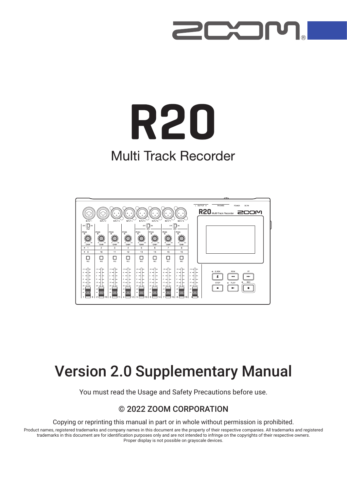

# **R20 Multi Track Recorder**



# Version 2.0 Supplementary Manual

You must read the Usage and Safety Precautions before use.

### © 2022 ZOOM CORPORATION

Copying or reprinting this manual in part or in whole without permission is prohibited.

Product names, registered trademarks and company names in this document are the property of their respective companies. All trademarks and registered trademarks in this document are for identification purposes only and are not intended to infringe on the copyrights of their respective owners. Proper display is not possible on grayscale devices.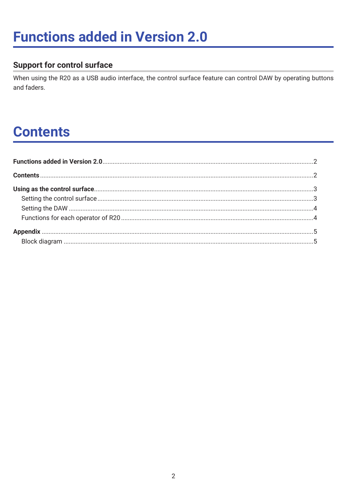# **Functions added in Version 2.0**

### **Support for control surface**

When using the R20 as a USB audio interface, the control surface feature can control DAW by operating buttons and faders.

# **Contents**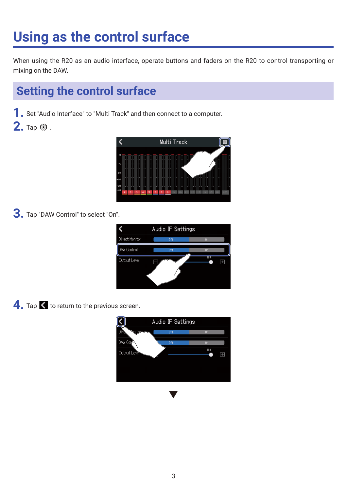# <span id="page-2-0"></span>**Using as the control surface**

When using the R20 as an audio interface, operate buttons and faders on the R20 to control transporting or mixing on the DAW.

## **Setting the control surface**

**1.** Set "Audio Interface" to "Multi Track" and then connect to a computer.

**2.** Tap  $\circledcirc$  .



**3.** Tap "DAW Control" to select "On".

|                    | Audio IF Settings |                |  |
|--------------------|-------------------|----------------|--|
| Direct Monitor     | 0ff               | 0 <sub>n</sub> |  |
| <b>DAW Control</b> | 0ff               | <b>On</b>      |  |
| Output Level       |                   | TUU            |  |

4. Tap < to return to the previous screen.

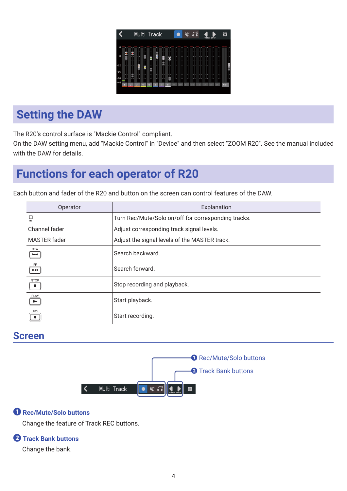|                |    |                | Multi Track |    |        |   |   |   |  |  | K C |  | - TRACK BANK- |    |        | 燚          |        |
|----------------|----|----------------|-------------|----|--------|---|---|---|--|--|-----|--|---------------|----|--------|------------|--------|
| O              |    |                |             |    |        |   |   |   |  |  |     |  |               |    |        |            |        |
| $-6$           | ول | 8              |             |    | а<br>н | B | ᇛ | g |  |  |     |  |               |    |        |            |        |
| $-12$          |    |                | 8           | Ø  |        |   |   |   |  |  |     |  |               |    |        |            | Ξ<br>Ш |
| $-16$<br>$-20$ |    |                |             |    |        |   |   | - |  |  |     |  |               |    | п<br>٠ |            |        |
| $-48$          |    | $\overline{2}$ | s           | d. | 5      | в |   | 8 |  |  |     |  |               | 16 |        | <b>MST</b> |        |

## <span id="page-3-0"></span>**Setting the DAW**

The R20's control surface is "Mackie Control" compliant.

On the DAW setting menu, add "Mackie Control" in "Device" and then select "ZOOM R20". See the manual included with the DAW for details.

## **Functions for each operator of R20**

Each button and fader of the R20 and button on the screen can control features of the DAW.

| Operator                                        | Explanation                                         |
|-------------------------------------------------|-----------------------------------------------------|
| REC                                             | Turn Rec/Mute/Solo on/off for corresponding tracks. |
| Channel fader                                   | Adjust corresponding track signal levels.           |
| <b>MASTER</b> fader                             | Adjust the signal levels of the MASTER track.       |
| REW<br>$\blacktriangleleft$                     | Search backward.                                    |
| FF.<br>$\blacktriangleright\blacktriangleright$ | Search forward.                                     |
| <b>STOP</b><br>$\mathcal{L}^{\mathcal{L}}$      | Stop recording and playback.                        |
| PLAY<br>$\blacktriangleright$                   | Start playback.                                     |
| REC                                             | Start recording.                                    |

## **Screen**



#### **❶ Rec/Mute/Solo buttons**

Change the feature of Track REC buttons.

#### **❷ Track Bank buttons**

Change the bank.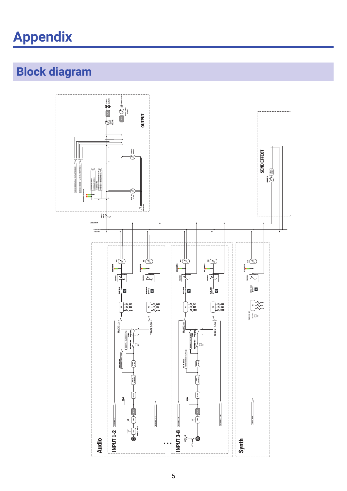# <span id="page-4-0"></span>**Appendix**

## **Block diagram**